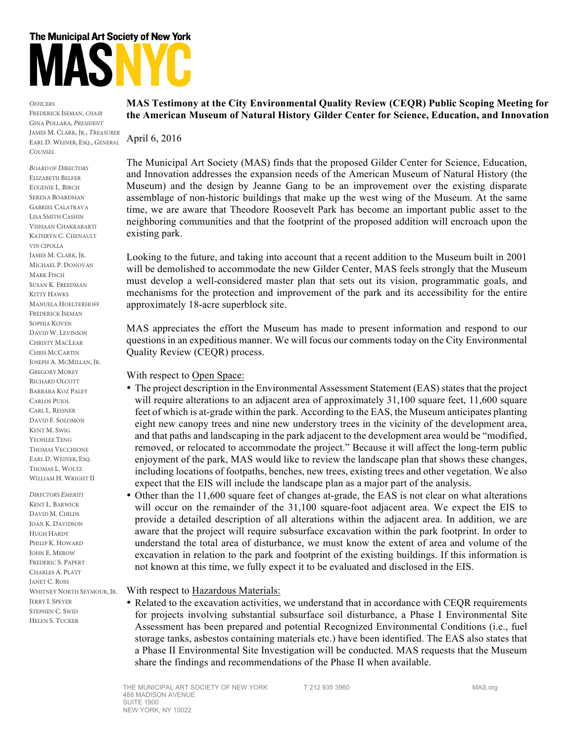## The Municipal Art Society of New York

*OFFICERS* FREDERICK ISEMAN, *CHAIR* GINA POLLARA, *PRESIDENT* JAMES M. CLARK, JR., *TREASURER* EARL D. WEINER, ESQ., *GENERAL COUNSEL*

*BOARD OF DIRECTORS* ELIZABETH BELFER EUGENIE L. BIRCH SERENA BOARDMAN GABRIEL CALATRAVA LISA SMITH CASHIN VISHAAN CHAKRABARTI KATHRYN C. CHENAULT VIN CIPOLLA JAMES M. CLARK, JR. MICHAEL P. DONOVAN MARK FISCH SUSAN K. FREEDMAN KITTY HAWKS MANUELA HOELTERHOFF FREDERICK ISEMAN SOPHIA KOVEN DAVID W. LEVINSON CHRISTY MACLEAR CHRIS MCCARTIN JOSEPH A. MCMILLAN, JR. GREGORY MOREY RICHARD OLCOTT BARBARA KOZ PALEY CARLOS PUJOL CARL L. REISNER DAVID F. SOLOMON KENT M. SWIG YEOHLEE TENG THOMAS VECCHIONE EARL D. WEINER, ESQ. THOMAS L. WOLTZ WILLIAM H. WRIGHT II

*DIRECTORS EMERITI* KENT L. BARWICK DAVID M. CHILDS JOAN K. DAVIDSON HUGH HARDY PHILIP K. HOWARD JOHN E. MEROW FREDERIC S. PAPERT CHARLES A. PLATT JANET C. ROSS WHITNEY NORTH SEYMOUR, JR. JERRY I. SPEYER STEPHEN C. SWID HELEN S. TUCKER

## **MAS Testimony at the City Environmental Quality Review (CEQR) Public Scoping Meeting for the American Museum of Natural History Gilder Center for Science, Education, and Innovation**

April 6, 2016

The Municipal Art Society (MAS) finds that the proposed Gilder Center for Science, Education, and Innovation addresses the expansion needs of the American Museum of Natural History (the Museum) and the design by Jeanne Gang to be an improvement over the existing disparate assemblage of non-historic buildings that make up the west wing of the Museum. At the same time, we are aware that Theodore Roosevelt Park has become an important public asset to the neighboring communities and that the footprint of the proposed addition will encroach upon the existing park.

Looking to the future, and taking into account that a recent addition to the Museum built in 2001 will be demolished to accommodate the new Gilder Center, MAS feels strongly that the Museum must develop a well-considered master plan that sets out its vision, programmatic goals, and mechanisms for the protection and improvement of the park and its accessibility for the entire approximately 18-acre superblock site.

MAS appreciates the effort the Museum has made to present information and respond to our questions in an expeditious manner. We will focus our comments today on the City Environmental Quality Review (CEQR) process.

With respect to Open Space:

- The project description in the Environmental Assessment Statement (EAS) states that the project will require alterations to an adjacent area of approximately 31,100 square feet, 11,600 square feet of which is at-grade within the park. According to the EAS, the Museum anticipates planting eight new canopy trees and nine new understory trees in the vicinity of the development area, and that paths and landscaping in the park adjacent to the development area would be "modified, removed, or relocated to accommodate the project." Because it will affect the long-term public enjoyment of the park, MAS would like to review the landscape plan that shows these changes, including locations of footpaths, benches, new trees, existing trees and other vegetation. We also expect that the EIS will include the landscape plan as a major part of the analysis.
- Other than the 11,600 square feet of changes at-grade, the EAS is not clear on what alterations will occur on the remainder of the 31,100 square-foot adjacent area. We expect the EIS to provide a detailed description of all alterations within the adjacent area. In addition, we are aware that the project will require subsurface excavation within the park footprint. In order to understand the total area of disturbance, we must know the extent of area and volume of the excavation in relation to the park and footprint of the existing buildings. If this information is not known at this time, we fully expect it to be evaluated and disclosed in the EIS.

With respect to Hazardous Materials:

• Related to the excavation activities, we understand that in accordance with CEQR requirements for projects involving substantial subsurface soil disturbance, a Phase I Environmental Site Assessment has been prepared and potential Recognized Environmental Conditions (i.e., fuel storage tanks, asbestos containing materials etc.) have been identified. The EAS also states that a Phase II Environmental Site Investigation will be conducted. MAS requests that the Museum share the findings and recommendations of the Phase II when available.